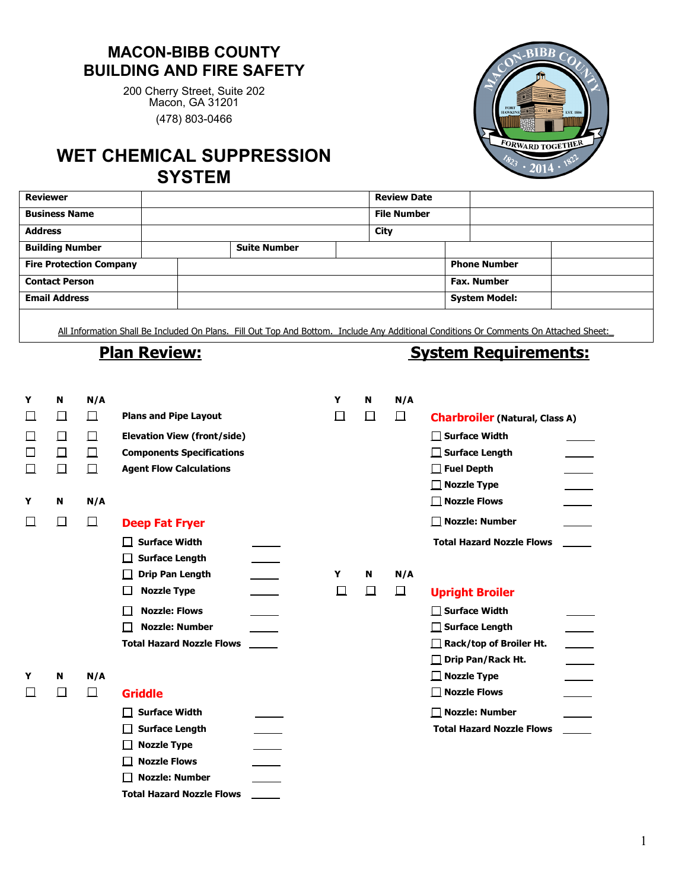## **MACON-BIBB COUNTY BUILDING AND FIRE SAFETY**

200 Cherry Street, Suite 202 Macon, GA 31201 (478) 803-0466

## **WET CHEMICAL SUPPRESSION SYSTEM**



| <b>Reviewer</b>                |  |                     | <b>Review Date</b> |                      |  |
|--------------------------------|--|---------------------|--------------------|----------------------|--|
| <b>Business Name</b>           |  |                     | <b>File Number</b> |                      |  |
| <b>Address</b>                 |  |                     | City               |                      |  |
| <b>Building Number</b>         |  | <b>Suite Number</b> |                    |                      |  |
| <b>Fire Protection Company</b> |  |                     |                    | <b>Phone Number</b>  |  |
| <b>Contact Person</b>          |  |                     |                    | <b>Fax. Number</b>   |  |
| <b>Email Address</b>           |  |                     |                    | <b>System Model:</b> |  |
|                                |  |                     |                    |                      |  |

All Information Shall Be Included On Plans. Fill Out Top And Bottom. Include Any Additional Conditions Or Comments On Attached Sheet:\_

## **Plan Review: Plan Requirements:**

| Y      | N      | N/A    |                                    | Y      | N      | N/A    |                                                         |
|--------|--------|--------|------------------------------------|--------|--------|--------|---------------------------------------------------------|
| $\Box$ | $\Box$ | $\Box$ | <b>Plans and Pipe Layout</b>       | $\Box$ | $\Box$ | 囗      | <b>Charbroiler (Natural, Class A)</b>                   |
| $\Box$ | 囗      | $\Box$ | <b>Elevation View (front/side)</b> |        |        |        | $\Box$ Surface Width                                    |
| П      | $\Box$ | $\Box$ | <b>Components Specifications</b>   |        |        |        | $\Box$ Surface Length                                   |
|        | $\Box$ | $\Box$ | <b>Agent Flow Calculations</b>     |        |        |        | $\Box$ Fuel Depth                                       |
|        |        |        |                                    |        |        |        | $\Box$ Nozzle Type                                      |
| Y      | N      | N/A    |                                    |        |        |        | $\Box$ Nozzle Flows                                     |
|        | $\Box$ | 口      | <b>Deep Fat Fryer</b>              |        |        |        | $\Box$ Nozzle: Number                                   |
|        |        |        | <b>Surface Width</b>               |        |        |        | <b>Total Hazard Nozzle Flows</b>                        |
|        |        |        | <b>Surface Length</b>              |        |        |        |                                                         |
|        |        |        | <b>Drip Pan Length</b>             | Y      | N      | N/A    |                                                         |
|        |        |        | <b>Nozzle Type</b>                 | ⊔      | $\Box$ | $\Box$ | <b>Upright Broiler</b>                                  |
|        |        |        | <b>Nozzle: Flows</b>               |        |        |        | $\Box$ Surface Width                                    |
|        |        |        | <b>Nozzle: Number</b>              |        |        |        | $\Box$ Surface Length                                   |
|        |        |        | <b>Total Hazard Nozzle Flows</b>   |        |        |        | $\frac{1}{\sqrt{2\pi}}$<br>Rack/top of Broiler Ht.<br>П |
|        |        |        |                                    |        |        |        | Drip Pan/Rack Ht.<br>$\Box$                             |
| Y      | N      | N/A    |                                    |        |        |        | $\Box$ Nozzle Type                                      |
|        | П      | $\Box$ | <b>Griddle</b>                     |        |        |        | $\Box$ Nozzle Flows                                     |
|        |        |        | <b>Surface Width</b>               |        |        |        | $\Box$ Nozzle: Number                                   |
|        |        |        | <b>Surface Length</b>              |        |        |        | <b>Total Hazard Nozzle Flows</b>                        |
|        |        |        | <b>Nozzle Type</b>                 |        |        |        |                                                         |
|        |        |        | <b>Nozzle Flows</b>                |        |        |        |                                                         |
|        |        |        | <b>Nozzle: Number</b>              |        |        |        |                                                         |
|        |        |        | <b>Total Hazard Nozzle Flows</b>   |        |        |        |                                                         |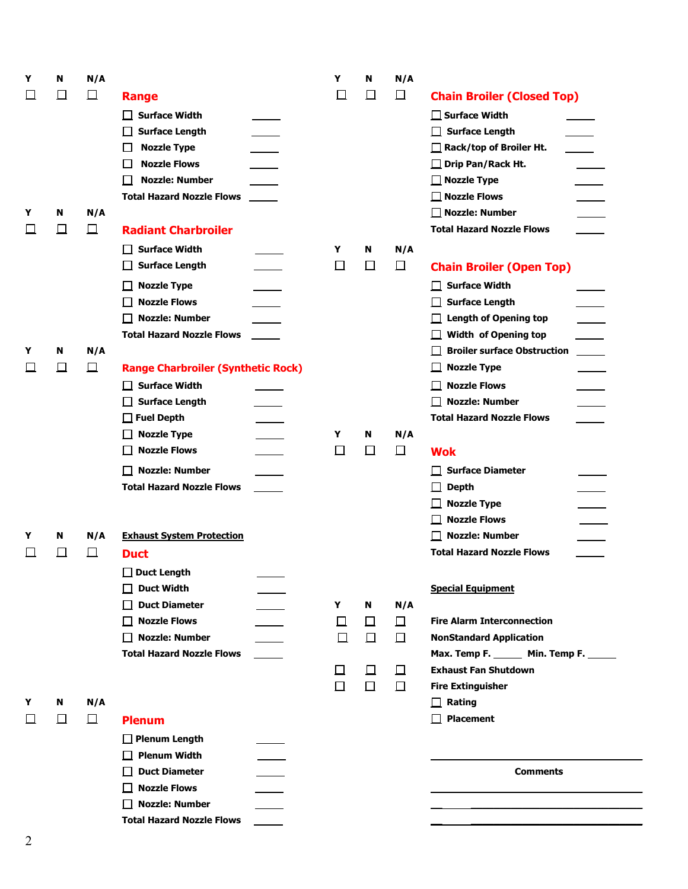| $\Box$<br>$\Box$<br>$\Box$<br>囗<br>$\Box$<br>ப<br><b>Chain Broiler (Closed Top)</b><br>Range<br>$\Box$ Surface Width<br><b>Surface Width</b><br>$\mathbf{L}$<br><b>Surface Length</b><br>$\Box$ Surface Length<br>$\Box$ Rack/top of Broiler Ht.<br>$\sim$ 10 $\pm$<br><b>Nozzle Type</b><br>ப<br><b>Nozzle Flows</b><br>$\Box$ Drip Pan/Rack Ht.<br>ப<br><b>Nozzle: Number</b><br>$\Box$ Nozzle Type<br>$\perp$<br><b>Total Hazard Nozzle Flows</b><br>$\Box$ Nozzle Flows<br>$\frac{1}{1}$<br>$\Box$ Nozzle: Number<br>N/A<br>N<br>Y<br>$\Box$<br><b>Total Hazard Nozzle Flows</b><br>$\Box$<br><b>Radiant Charbroiler</b><br>ப<br><b>Surface Width</b><br>N/A<br>Y<br>N<br>$\Box$<br><b>Surface Length</b><br>$\Box$<br>囗<br>$\Box$<br><b>Chain Broiler (Open Top)</b><br><b>Surface Width</b><br><b>Nozzle Type</b><br>$\Box$<br><b>Nozzle Flows</b><br><b>Surface Length</b><br>$\perp$<br>$\Box$ Nozzle: Number<br><b>Length of Opening top</b><br>$\Box$<br><b>Total Hazard Nozzle Flows</b><br>Width of Opening top<br>$\overline{\phantom{a}}$<br><b>Broiler surface Obstruction</b><br>N<br>N/A<br>Y<br>$\Box$<br>$\Box$<br><b>Nozzle Type</b><br>$\Box$<br><b>Range Charbroiler (Synthetic Rock)</b><br>$\Box$<br>ப<br>$\Box$ Surface Width<br>$\Box$ Nozzle Flows<br>$\Box$ Surface Length<br>□ Nozzle: Number<br><b>Total Hazard Nozzle Flows</b><br>$\Box$ Fuel Depth<br><b>Nozzle Type</b><br>N/A<br>Y<br>$\Box$<br>N<br><b>Nozzle Flows</b><br>$\Box$<br>$\Box$<br>$\Box$<br>$\Box$<br><b>Wok</b><br><b>Nozzle: Number</b><br><b>Surface Diameter</b><br>$\perp$<br><b>Total Hazard Nozzle Flows</b><br><b>Depth</b><br>Ц<br>$\Box$ Nozzle Type<br>$\Box$ Nozzle Flows<br>$\overline{\phantom{a}}$ |  |
|--------------------------------------------------------------------------------------------------------------------------------------------------------------------------------------------------------------------------------------------------------------------------------------------------------------------------------------------------------------------------------------------------------------------------------------------------------------------------------------------------------------------------------------------------------------------------------------------------------------------------------------------------------------------------------------------------------------------------------------------------------------------------------------------------------------------------------------------------------------------------------------------------------------------------------------------------------------------------------------------------------------------------------------------------------------------------------------------------------------------------------------------------------------------------------------------------------------------------------------------------------------------------------------------------------------------------------------------------------------------------------------------------------------------------------------------------------------------------------------------------------------------------------------------------------------------------------------------------------------------------------------------------------------------------------------------------------------------|--|
|                                                                                                                                                                                                                                                                                                                                                                                                                                                                                                                                                                                                                                                                                                                                                                                                                                                                                                                                                                                                                                                                                                                                                                                                                                                                                                                                                                                                                                                                                                                                                                                                                                                                                                                    |  |
|                                                                                                                                                                                                                                                                                                                                                                                                                                                                                                                                                                                                                                                                                                                                                                                                                                                                                                                                                                                                                                                                                                                                                                                                                                                                                                                                                                                                                                                                                                                                                                                                                                                                                                                    |  |
|                                                                                                                                                                                                                                                                                                                                                                                                                                                                                                                                                                                                                                                                                                                                                                                                                                                                                                                                                                                                                                                                                                                                                                                                                                                                                                                                                                                                                                                                                                                                                                                                                                                                                                                    |  |
|                                                                                                                                                                                                                                                                                                                                                                                                                                                                                                                                                                                                                                                                                                                                                                                                                                                                                                                                                                                                                                                                                                                                                                                                                                                                                                                                                                                                                                                                                                                                                                                                                                                                                                                    |  |
|                                                                                                                                                                                                                                                                                                                                                                                                                                                                                                                                                                                                                                                                                                                                                                                                                                                                                                                                                                                                                                                                                                                                                                                                                                                                                                                                                                                                                                                                                                                                                                                                                                                                                                                    |  |
|                                                                                                                                                                                                                                                                                                                                                                                                                                                                                                                                                                                                                                                                                                                                                                                                                                                                                                                                                                                                                                                                                                                                                                                                                                                                                                                                                                                                                                                                                                                                                                                                                                                                                                                    |  |
|                                                                                                                                                                                                                                                                                                                                                                                                                                                                                                                                                                                                                                                                                                                                                                                                                                                                                                                                                                                                                                                                                                                                                                                                                                                                                                                                                                                                                                                                                                                                                                                                                                                                                                                    |  |
|                                                                                                                                                                                                                                                                                                                                                                                                                                                                                                                                                                                                                                                                                                                                                                                                                                                                                                                                                                                                                                                                                                                                                                                                                                                                                                                                                                                                                                                                                                                                                                                                                                                                                                                    |  |
|                                                                                                                                                                                                                                                                                                                                                                                                                                                                                                                                                                                                                                                                                                                                                                                                                                                                                                                                                                                                                                                                                                                                                                                                                                                                                                                                                                                                                                                                                                                                                                                                                                                                                                                    |  |
|                                                                                                                                                                                                                                                                                                                                                                                                                                                                                                                                                                                                                                                                                                                                                                                                                                                                                                                                                                                                                                                                                                                                                                                                                                                                                                                                                                                                                                                                                                                                                                                                                                                                                                                    |  |
|                                                                                                                                                                                                                                                                                                                                                                                                                                                                                                                                                                                                                                                                                                                                                                                                                                                                                                                                                                                                                                                                                                                                                                                                                                                                                                                                                                                                                                                                                                                                                                                                                                                                                                                    |  |
|                                                                                                                                                                                                                                                                                                                                                                                                                                                                                                                                                                                                                                                                                                                                                                                                                                                                                                                                                                                                                                                                                                                                                                                                                                                                                                                                                                                                                                                                                                                                                                                                                                                                                                                    |  |
|                                                                                                                                                                                                                                                                                                                                                                                                                                                                                                                                                                                                                                                                                                                                                                                                                                                                                                                                                                                                                                                                                                                                                                                                                                                                                                                                                                                                                                                                                                                                                                                                                                                                                                                    |  |
|                                                                                                                                                                                                                                                                                                                                                                                                                                                                                                                                                                                                                                                                                                                                                                                                                                                                                                                                                                                                                                                                                                                                                                                                                                                                                                                                                                                                                                                                                                                                                                                                                                                                                                                    |  |
|                                                                                                                                                                                                                                                                                                                                                                                                                                                                                                                                                                                                                                                                                                                                                                                                                                                                                                                                                                                                                                                                                                                                                                                                                                                                                                                                                                                                                                                                                                                                                                                                                                                                                                                    |  |
|                                                                                                                                                                                                                                                                                                                                                                                                                                                                                                                                                                                                                                                                                                                                                                                                                                                                                                                                                                                                                                                                                                                                                                                                                                                                                                                                                                                                                                                                                                                                                                                                                                                                                                                    |  |
|                                                                                                                                                                                                                                                                                                                                                                                                                                                                                                                                                                                                                                                                                                                                                                                                                                                                                                                                                                                                                                                                                                                                                                                                                                                                                                                                                                                                                                                                                                                                                                                                                                                                                                                    |  |
|                                                                                                                                                                                                                                                                                                                                                                                                                                                                                                                                                                                                                                                                                                                                                                                                                                                                                                                                                                                                                                                                                                                                                                                                                                                                                                                                                                                                                                                                                                                                                                                                                                                                                                                    |  |
|                                                                                                                                                                                                                                                                                                                                                                                                                                                                                                                                                                                                                                                                                                                                                                                                                                                                                                                                                                                                                                                                                                                                                                                                                                                                                                                                                                                                                                                                                                                                                                                                                                                                                                                    |  |
|                                                                                                                                                                                                                                                                                                                                                                                                                                                                                                                                                                                                                                                                                                                                                                                                                                                                                                                                                                                                                                                                                                                                                                                                                                                                                                                                                                                                                                                                                                                                                                                                                                                                                                                    |  |
|                                                                                                                                                                                                                                                                                                                                                                                                                                                                                                                                                                                                                                                                                                                                                                                                                                                                                                                                                                                                                                                                                                                                                                                                                                                                                                                                                                                                                                                                                                                                                                                                                                                                                                                    |  |
|                                                                                                                                                                                                                                                                                                                                                                                                                                                                                                                                                                                                                                                                                                                                                                                                                                                                                                                                                                                                                                                                                                                                                                                                                                                                                                                                                                                                                                                                                                                                                                                                                                                                                                                    |  |
|                                                                                                                                                                                                                                                                                                                                                                                                                                                                                                                                                                                                                                                                                                                                                                                                                                                                                                                                                                                                                                                                                                                                                                                                                                                                                                                                                                                                                                                                                                                                                                                                                                                                                                                    |  |
|                                                                                                                                                                                                                                                                                                                                                                                                                                                                                                                                                                                                                                                                                                                                                                                                                                                                                                                                                                                                                                                                                                                                                                                                                                                                                                                                                                                                                                                                                                                                                                                                                                                                                                                    |  |
|                                                                                                                                                                                                                                                                                                                                                                                                                                                                                                                                                                                                                                                                                                                                                                                                                                                                                                                                                                                                                                                                                                                                                                                                                                                                                                                                                                                                                                                                                                                                                                                                                                                                                                                    |  |
|                                                                                                                                                                                                                                                                                                                                                                                                                                                                                                                                                                                                                                                                                                                                                                                                                                                                                                                                                                                                                                                                                                                                                                                                                                                                                                                                                                                                                                                                                                                                                                                                                                                                                                                    |  |
| <b>Nozzle: Number</b><br>N/A<br><b>Exhaust System Protection</b><br>Y<br>N                                                                                                                                                                                                                                                                                                                                                                                                                                                                                                                                                                                                                                                                                                                                                                                                                                                                                                                                                                                                                                                                                                                                                                                                                                                                                                                                                                                                                                                                                                                                                                                                                                         |  |
| <b>Total Hazard Nozzle Flows</b><br>$\Box$<br>$\Box$<br>⊔<br><b>Duct</b>                                                                                                                                                                                                                                                                                                                                                                                                                                                                                                                                                                                                                                                                                                                                                                                                                                                                                                                                                                                                                                                                                                                                                                                                                                                                                                                                                                                                                                                                                                                                                                                                                                           |  |
| $\Box$ Duct Length                                                                                                                                                                                                                                                                                                                                                                                                                                                                                                                                                                                                                                                                                                                                                                                                                                                                                                                                                                                                                                                                                                                                                                                                                                                                                                                                                                                                                                                                                                                                                                                                                                                                                                 |  |
| $\Box$ Duct Width<br><b>Special Equipment</b>                                                                                                                                                                                                                                                                                                                                                                                                                                                                                                                                                                                                                                                                                                                                                                                                                                                                                                                                                                                                                                                                                                                                                                                                                                                                                                                                                                                                                                                                                                                                                                                                                                                                      |  |
| <b>Duct Diameter</b><br>N/A<br>$\Box$<br>Y<br>N                                                                                                                                                                                                                                                                                                                                                                                                                                                                                                                                                                                                                                                                                                                                                                                                                                                                                                                                                                                                                                                                                                                                                                                                                                                                                                                                                                                                                                                                                                                                                                                                                                                                    |  |
| $\Box$ Nozzle Flows<br>$\Box$<br><b>Fire Alarm Interconnection</b><br>$\Box$<br>$\Box$                                                                                                                                                                                                                                                                                                                                                                                                                                                                                                                                                                                                                                                                                                                                                                                                                                                                                                                                                                                                                                                                                                                                                                                                                                                                                                                                                                                                                                                                                                                                                                                                                             |  |
| <b>Nozzle: Number</b><br>$\Box$<br>$\Box$<br>$\Box$<br><b>NonStandard Application</b>                                                                                                                                                                                                                                                                                                                                                                                                                                                                                                                                                                                                                                                                                                                                                                                                                                                                                                                                                                                                                                                                                                                                                                                                                                                                                                                                                                                                                                                                                                                                                                                                                              |  |
| <b>Total Hazard Nozzle Flows</b><br>Max. Temp F. ______ Min. Temp F. _____                                                                                                                                                                                                                                                                                                                                                                                                                                                                                                                                                                                                                                                                                                                                                                                                                                                                                                                                                                                                                                                                                                                                                                                                                                                                                                                                                                                                                                                                                                                                                                                                                                         |  |
| <b>Exhaust Fan Shutdown</b><br>口<br>囗<br>Д                                                                                                                                                                                                                                                                                                                                                                                                                                                                                                                                                                                                                                                                                                                                                                                                                                                                                                                                                                                                                                                                                                                                                                                                                                                                                                                                                                                                                                                                                                                                                                                                                                                                         |  |
| $\Box$<br>$\Box$<br>$\Box$<br><b>Fire Extinguisher</b>                                                                                                                                                                                                                                                                                                                                                                                                                                                                                                                                                                                                                                                                                                                                                                                                                                                                                                                                                                                                                                                                                                                                                                                                                                                                                                                                                                                                                                                                                                                                                                                                                                                             |  |
| N/A<br>$\Box$ Rating<br>Y<br>N                                                                                                                                                                                                                                                                                                                                                                                                                                                                                                                                                                                                                                                                                                                                                                                                                                                                                                                                                                                                                                                                                                                                                                                                                                                                                                                                                                                                                                                                                                                                                                                                                                                                                     |  |
| $\Box$<br>$\Box$ Placement<br>$\Box$<br><b>Plenum</b>                                                                                                                                                                                                                                                                                                                                                                                                                                                                                                                                                                                                                                                                                                                                                                                                                                                                                                                                                                                                                                                                                                                                                                                                                                                                                                                                                                                                                                                                                                                                                                                                                                                              |  |
| $\Box$ Plenum Length                                                                                                                                                                                                                                                                                                                                                                                                                                                                                                                                                                                                                                                                                                                                                                                                                                                                                                                                                                                                                                                                                                                                                                                                                                                                                                                                                                                                                                                                                                                                                                                                                                                                                               |  |
| <b>Plenum Width</b><br>$\Box$                                                                                                                                                                                                                                                                                                                                                                                                                                                                                                                                                                                                                                                                                                                                                                                                                                                                                                                                                                                                                                                                                                                                                                                                                                                                                                                                                                                                                                                                                                                                                                                                                                                                                      |  |
| <b>Duct Diameter</b><br><b>Comments</b>                                                                                                                                                                                                                                                                                                                                                                                                                                                                                                                                                                                                                                                                                                                                                                                                                                                                                                                                                                                                                                                                                                                                                                                                                                                                                                                                                                                                                                                                                                                                                                                                                                                                            |  |
| $\Box$ Nozzle Flows                                                                                                                                                                                                                                                                                                                                                                                                                                                                                                                                                                                                                                                                                                                                                                                                                                                                                                                                                                                                                                                                                                                                                                                                                                                                                                                                                                                                                                                                                                                                                                                                                                                                                                |  |
| $\Box$ Nozzle: Number                                                                                                                                                                                                                                                                                                                                                                                                                                                                                                                                                                                                                                                                                                                                                                                                                                                                                                                                                                                                                                                                                                                                                                                                                                                                                                                                                                                                                                                                                                                                                                                                                                                                                              |  |
| <b>Total Hazard Nozzle Flows</b>                                                                                                                                                                                                                                                                                                                                                                                                                                                                                                                                                                                                                                                                                                                                                                                                                                                                                                                                                                                                                                                                                                                                                                                                                                                                                                                                                                                                                                                                                                                                                                                                                                                                                   |  |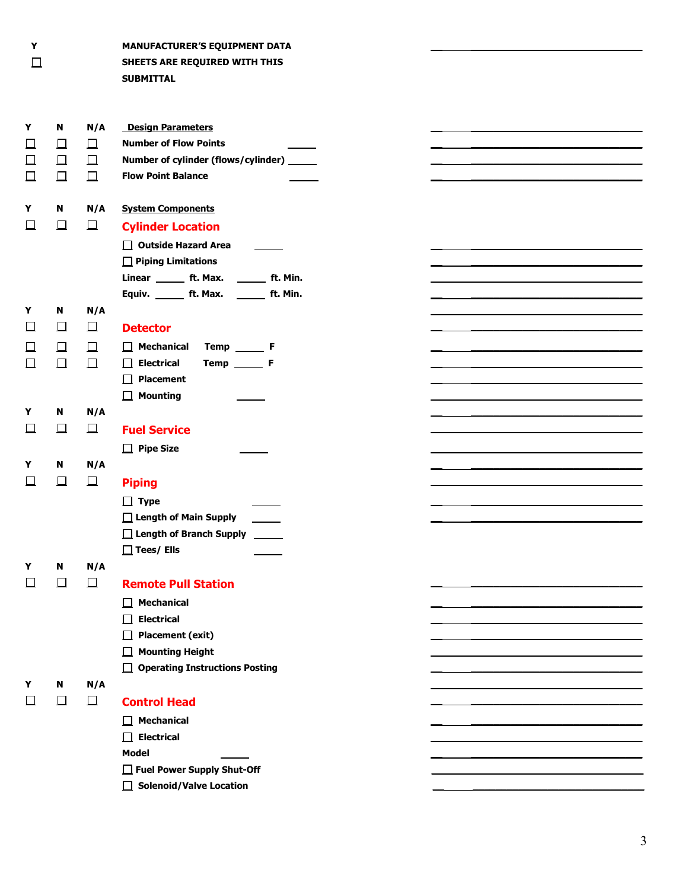$\Box$ 

**Y MANUFACTURER'S EQUIPMENT DATA SHEETS ARE REQUIRED WITH THIS SUBMITTAL**

| Y      | N      | N/A    | <b>Design Parameters</b>                                     |  |
|--------|--------|--------|--------------------------------------------------------------|--|
| ப      | $\Box$ | $\Box$ | <b>Number of Flow Points</b>                                 |  |
| $\Box$ | $\Box$ | 口      | Number of cylinder (flows/cylinder) _____                    |  |
| $\Box$ | $\Box$ | $\Box$ | <b>Flow Point Balance</b>                                    |  |
|        |        |        |                                                              |  |
| Y      | N      | N/A    | <b>System Components</b>                                     |  |
| $\Box$ | 口      | $\Box$ | <b>Cylinder Location</b>                                     |  |
|        |        |        |                                                              |  |
|        |        |        | $\Box$ Outside Hazard Area                                   |  |
|        |        |        | $\Box$ Piping Limitations                                    |  |
|        |        |        | Linear ________ ft. Max. ________ ft. Min.                   |  |
|        |        |        | Equiv. _______ ft. Max. _______ ft. Min.                     |  |
| Y      | N      | N/A    |                                                              |  |
| 口      | 囗      | $\Box$ | <b>Detector</b>                                              |  |
| Ц      | $\Box$ | $\Box$ | $\Box$ Mechanical<br>$Temp$ <sub><math>Iemp</math></sub> $F$ |  |
| 囗      | $\Box$ | $\Box$ | $\Box$ Electrical<br>Temp F                                  |  |
|        |        |        | $\Box$ Placement                                             |  |
|        |        |        | $\Box$ Mounting                                              |  |
| Y      | N      | N/A    |                                                              |  |
| ப      | 口      | $\Box$ | <b>Fuel Service</b>                                          |  |
|        |        |        | $\Box$ Pipe Size                                             |  |
| Y      | N      | N/A    |                                                              |  |
| $\Box$ | 口      | $\Box$ | <b>Piping</b>                                                |  |
|        |        |        | $\Box$ Type                                                  |  |
|        |        |        | $\Box$ Length of Main Supply                                 |  |
|        |        |        | $\Box$ Length of Branch Supply                               |  |
|        |        |        | $\Box$ Tees/ Ells                                            |  |
| Y      | N      | N/A    |                                                              |  |
| ப      | $\Box$ | $\Box$ | <b>Remote Pull Station</b>                                   |  |
|        |        |        |                                                              |  |
|        |        |        | <b>Mechanical</b><br>ш                                       |  |
|        |        |        | $\Box$ Electrical                                            |  |
|        |        |        | <b>Placement (exit)</b><br>$\perp$                           |  |
|        |        |        | $\Box$ Mounting Height                                       |  |
|        |        |        | $\Box$ Operating Instructions Posting                        |  |
| Y      | N      | N/A    |                                                              |  |
| 囗      | $\Box$ | $\Box$ | <b>Control Head</b>                                          |  |
|        |        |        | $\Box$ Mechanical                                            |  |
|        |        |        | $\Box$ Electrical                                            |  |
|        |        |        | <b>Model</b>                                                 |  |
|        |        |        | Fuel Power Supply Shut-Off                                   |  |
|        |        |        | $\Box$ Solenoid/Valve Location                               |  |
|        |        |        |                                                              |  |

**\_\_ \_\_\_\_\_\_\_\_\_\_\_\_\_\_\_\_\_\_\_\_\_\_\_\_\_\_\_\_\_\_**